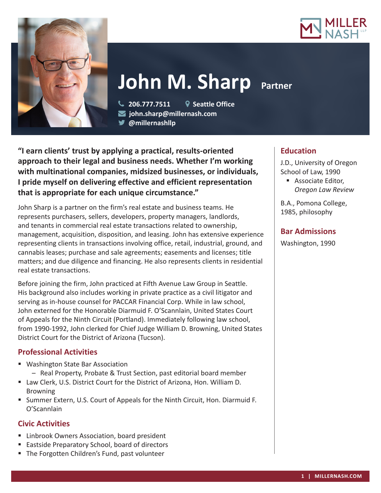



# **John M. Sharp Partner**

 **206.777.7511 Seattle Office john.sharp@millernash.com** 

**@millernashllp** 

**"I earn clients' trust by applying a practical, results-oriented approach to their legal and business needs. Whether I'm working with multinational companies, midsized businesses, or individuals, I pride myself on delivering effective and efficient representation that is appropriate for each unique circumstance."**

John Sharp is a partner on the firm's real estate and business teams. He represents purchasers, sellers, developers, property managers, landlords, and tenants in commercial real estate transactions related to ownership, management, acquisition, disposition, and leasing. John has extensive experience representing clients in transactions involving office, retail, industrial, ground, and cannabis leases; purchase and sale agreements; easements and licenses; title matters; and due diligence and financing. He also represents clients in residential real estate transactions.

Before joining the firm, John practiced at Fifth Avenue Law Group in Seattle. His background also includes working in private practice as a civil litigator and serving as in-house counsel for PACCAR Financial Corp. While in law school, John externed for the Honorable Diarmuid F. O'Scannlain, United States Court of Appeals for the Ninth Circuit (Portland). Immediately following law school, from 1990-1992, John clerked for Chief Judge William D. Browning, United States District Court for the District of Arizona (Tucson).

## **Professional Activities**

- Washington State Bar Association
	- Real Property, Probate & Trust Section, past editorial board member
- Law Clerk, U.S. District Court for the District of Arizona, Hon. William D. **Browning**
- Summer Extern, U.S. Court of Appeals for the Ninth Circuit, Hon. Diarmuid F. O'Scannlain

## **Civic Activities**

- Linbrook Owners Association, board president
- **Eastside Preparatory School, board of directors**
- **The Forgotten Children's Fund, past volunteer**

# **Education**

J.D., University of Oregon School of Law, 1990

**Associate Editor,** *Oregon Law Review*

B.A., Pomona College, 1985, philosophy

## **Bar Admissions**

Washington, 1990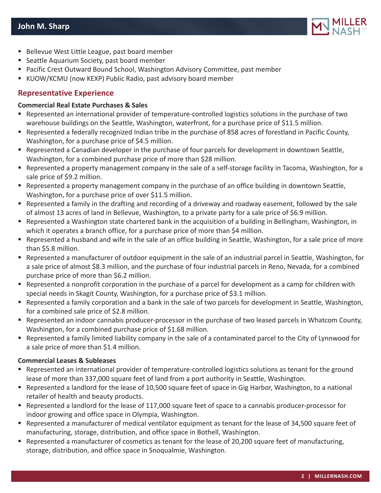

- Bellevue West Little League, past board member
- Seattle Aquarium Society, past board member
- **Pacific Crest Outward Bound School, Washington Advisory Committee, past member**
- KUOW/KCMU (now KEXP) Public Radio, past advisory board member

#### **Representative Experience**

#### **Commercial Real Estate Purchases & Sales**

- Represented an international provider of temperature-controlled logistics solutions in the purchase of two warehouse buildings on the Seattle, Washington, waterfront, for a purchase price of \$11.5 million.
- Represented a federally recognized Indian tribe in the purchase of 858 acres of forestland in Pacific County, Washington, for a purchase price of \$4.5 million.
- Represented a Canadian developer in the purchase of four parcels for development in downtown Seattle, Washington, for a combined purchase price of more than \$28 million.
- Represented a property management company in the sale of a self-storage facility in Tacoma, Washington, for a sale price of \$9.2 million.
- **Represented a property management company in the purchase of an office building in downtown Seattle,** Washington, for a purchase price of over \$11.5 million.
- Represented a family in the drafting and recording of a driveway and roadway easement, followed by the sale of almost 13 acres of land in Bellevue, Washington, to a private party for a sale price of \$6.9 million.
- Represented a Washington state chartered bank in the acquisition of a building in Bellingham, Washington, in which it operates a branch office, for a purchase price of more than \$4 million.
- Represented a husband and wife in the sale of an office building in Seattle, Washington, for a sale price of more than \$5.8 million.
- Represented a manufacturer of outdoor equipment in the sale of an industrial parcel in Seattle, Washington, for a sale price of almost \$8.3 million, and the purchase of four industrial parcels in Reno, Nevada, for a combined purchase price of more than \$6.2 million.
- Represented a nonprofit corporation in the purchase of a parcel for development as a camp for children with special needs in Skagit County, Washington, for a purchase price of \$3.1 million.
- Represented a family corporation and a bank in the sale of two parcels for development in Seattle, Washington, for a combined sale price of \$2.8 million.
- Represented an indoor cannabis producer-processor in the purchase of two leased parcels in Whatcom County, Washington, for a combined purchase price of \$1.68 million.
- Represented a family limited liability company in the sale of a contaminated parcel to the City of Lynnwood for a sale price of more than \$1.4 million.

#### **Commercial Leases & Subleases**

- Represented an international provider of temperature-controlled logistics solutions as tenant for the ground lease of more than 337,000 square feet of land from a port authority in Seattle, Washington.
- Represented a landlord for the lease of 10,500 square feet of space in Gig Harbor, Washington, to a national retailer of health and beauty products.
- Represented a landlord for the lease of 117,000 square feet of space to a cannabis producer-processor for indoor growing and office space in Olympia, Washington.
- Represented a manufacturer of medical ventilator equipment as tenant for the lease of 34,500 square feet of manufacturing, storage, distribution, and office space in Bothell, Washington.
- Represented a manufacturer of cosmetics as tenant for the lease of 20,200 square feet of manufacturing, storage, distribution, and office space in Snoqualmie, Washington.